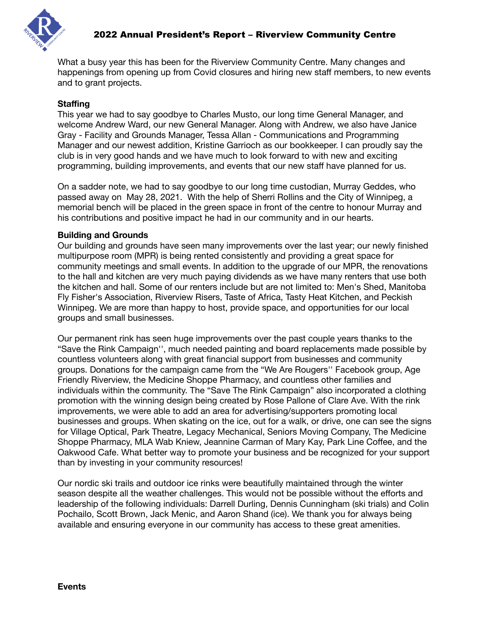

What a busy year this has been for the Riverview Community Centre. Many changes and happenings from opening up from Covid closures and hiring new staff members, to new events and to grant projects.

## **Staffing**

This year we had to say goodbye to Charles Musto, our long time General Manager, and welcome Andrew Ward, our new General Manager. Along with Andrew, we also have Janice Gray - Facility and Grounds Manager, Tessa Allan - Communications and Programming Manager and our newest addition, Kristine Garrioch as our bookkeeper. I can proudly say the club is in very good hands and we have much to look forward to with new and exciting programming, building improvements, and events that our new staff have planned for us.

On a sadder note, we had to say goodbye to our long time custodian, Murray Geddes, who passed away on May 28, 2021. With the help of Sherri Rollins and the City of Winnipeg, a memorial bench will be placed in the green space in front of the centre to honour Murray and his contributions and positive impact he had in our community and in our hearts.

### **Building and Grounds**

Our building and grounds have seen many improvements over the last year; our newly finished multipurpose room (MPR) is being rented consistently and providing a great space for community meetings and small events. In addition to the upgrade of our MPR, the renovations to the hall and kitchen are very much paying dividends as we have many renters that use both the kitchen and hall. Some of our renters include but are not limited to: Men's Shed, Manitoba Fly Fisher's Association, Riverview Risers, Taste of Africa, Tasty Heat Kitchen, and Peckish Winnipeg. We are more than happy to host, provide space, and opportunities for our local groups and small businesses.

Our permanent rink has seen huge improvements over the past couple years thanks to the "Save the Rink Campaign'', much needed painting and board replacements made possible by countless volunteers along with great financial support from businesses and community groups. Donations for the campaign came from the "We Are Rougers'' Facebook group, Age Friendly Riverview, the Medicine Shoppe Pharmacy, and countless other families and individuals within the community. The "Save The Rink Campaign" also incorporated a clothing promotion with the winning design being created by Rose Pallone of Clare Ave. With the rink improvements, we were able to add an area for advertising/supporters promoting local businesses and groups. When skating on the ice, out for a walk, or drive, one can see the signs for Village Optical, Park Theatre, Legacy Mechanical, Seniors Moving Company, The Medicine Shoppe Pharmacy, MLA Wab Kniew, Jeannine Carman of Mary Kay, Park Line Coffee, and the Oakwood Cafe. What better way to promote your business and be recognized for your support than by investing in your community resources!

Our nordic ski trails and outdoor ice rinks were beautifully maintained through the winter season despite all the weather challenges. This would not be possible without the efforts and leadership of the following individuals: Darrell Durling, Dennis Cunningham (ski trials) and Colin Pochailo, Scott Brown, Jack Menic, and Aaron Shand (ice). We thank you for always being available and ensuring everyone in our community has access to these great amenities.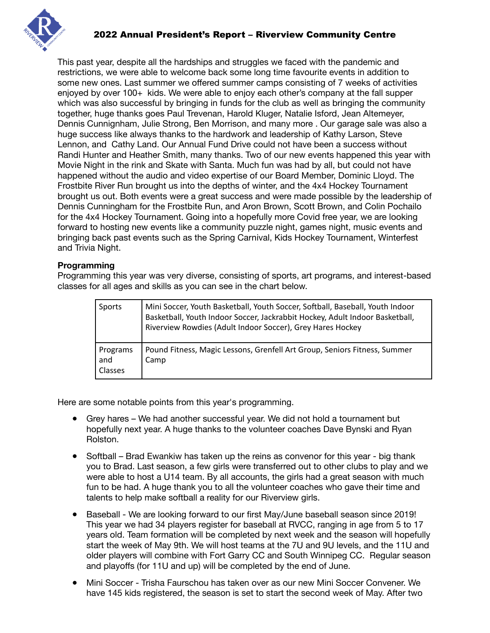

This past year, despite all the hardships and struggles we faced with the pandemic and restrictions, we were able to welcome back some long time favourite events in addition to some new ones. Last summer we offered summer camps consisting of 7 weeks of activities enjoyed by over 100+ kids. We were able to enjoy each other's company at the fall supper which was also successful by bringing in funds for the club as well as bringing the community together, huge thanks goes Paul Trevenan, Harold Kluger, Natalie Isford, Jean Altemeyer, Dennis Cunnignham, Julie Strong, Ben Morrison, and many more . Our garage sale was also a huge success like always thanks to the hardwork and leadership of Kathy Larson, Steve Lennon, and Cathy Land. Our Annual Fund Drive could not have been a success without Randi Hunter and Heather Smith, many thanks. Two of our new events happened this year with Movie Night in the rink and Skate with Santa. Much fun was had by all, but could not have happened without the audio and video expertise of our Board Member, Dominic Lloyd. The Frostbite River Run brought us into the depths of winter, and the 4x4 Hockey Tournament brought us out. Both events were a great success and were made possible by the leadership of Dennis Cunningham for the Frostbite Run, and Aron Brown, Scott Brown, and Colin Pochailo for the 4x4 Hockey Tournament. Going into a hopefully more Covid free year, we are looking forward to hosting new events like a community puzzle night, games night, music events and bringing back past events such as the Spring Carnival, Kids Hockey Tournament, Winterfest and Trivia Night.

### **Programming**

Programming this year was very diverse, consisting of sports, art programs, and interest-based classes for all ages and skills as you can see in the chart below.

| Sports                            | Mini Soccer, Youth Basketball, Youth Soccer, Softball, Baseball, Youth Indoor<br>Basketball, Youth Indoor Soccer, Jackrabbit Hockey, Adult Indoor Basketball,<br>Riverview Rowdies (Adult Indoor Soccer), Grey Hares Hockey |
|-----------------------------------|-----------------------------------------------------------------------------------------------------------------------------------------------------------------------------------------------------------------------------|
| Programs<br>and<br><b>Classes</b> | Pound Fitness, Magic Lessons, Grenfell Art Group, Seniors Fitness, Summer<br>Camp                                                                                                                                           |

Here are some notable points from this year's programming.

- Grey hares We had another successful year. We did not hold a tournament but hopefully next year. A huge thanks to the volunteer coaches Dave Bynski and Ryan Rolston.
- Softball Brad Ewankiw has taken up the reins as convenor for this year big thank you to Brad. Last season, a few girls were transferred out to other clubs to play and we were able to host a U14 team. By all accounts, the girls had a great season with much fun to be had. A huge thank you to all the volunteer coaches who gave their time and talents to help make softball a reality for our Riverview girls.
- Baseball We are looking forward to our first May/June baseball season since 2019! This year we had 34 players register for baseball at RVCC, ranging in age from 5 to 17 years old. Team formation will be completed by next week and the season will hopefully start the week of May 9th. We will host teams at the 7U and 9U levels, and the 11U and older players will combine with Fort Garry CC and South Winnipeg CC. Regular season and playoffs (for 11U and up) will be completed by the end of June.
- Mini Soccer Trisha Faurschou has taken over as our new Mini Soccer Convener. We have 145 kids registered, the season is set to start the second week of May. After two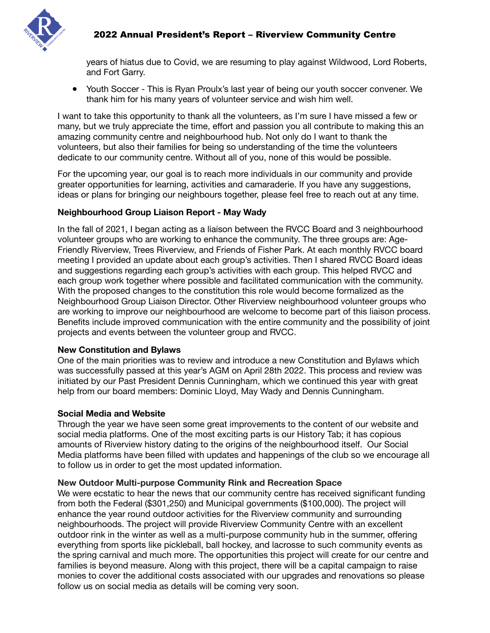

years of hiatus due to Covid, we are resuming to play against Wildwood, Lord Roberts, and Fort Garry.

● Youth Soccer - This is Ryan Proulx's last year of being our youth soccer convener. We thank him for his many years of volunteer service and wish him well.

I want to take this opportunity to thank all the volunteers, as I'm sure I have missed a few or many, but we truly appreciate the time, effort and passion you all contribute to making this an amazing community centre and neighbourhood hub. Not only do I want to thank the volunteers, but also their families for being so understanding of the time the volunteers dedicate to our community centre. Without all of you, none of this would be possible.

For the upcoming year, our goal is to reach more individuals in our community and provide greater opportunities for learning, activities and camaraderie. If you have any suggestions, ideas or plans for bringing our neighbours together, please feel free to reach out at any time.

## **Neighbourhood Group Liaison Report - May Wady**

In the fall of 2021, I began acting as a liaison between the RVCC Board and 3 neighbourhood volunteer groups who are working to enhance the community. The three groups are: Age-Friendly Riverview, Trees Riverview, and Friends of Fisher Park. At each monthly RVCC board meeting I provided an update about each group's activities. Then I shared RVCC Board ideas and suggestions regarding each group's activities with each group. This helped RVCC and each group work together where possible and facilitated communication with the community. With the proposed changes to the constitution this role would become formalized as the Neighbourhood Group Liaison Director. Other Riverview neighbourhood volunteer groups who are working to improve our neighbourhood are welcome to become part of this liaison process. Benefits include improved communication with the entire community and the possibility of joint projects and events between the volunteer group and RVCC.

### **New Constitution and Bylaws**

One of the main priorities was to review and introduce a new Constitution and Bylaws which was successfully passed at this year's AGM on April 28th 2022. This process and review was initiated by our Past President Dennis Cunningham, which we continued this year with great help from our board members: Dominic Lloyd, May Wady and Dennis Cunningham.

## **Social Media and Website**

Through the year we have seen some great improvements to the content of our website and social media platforms. One of the most exciting parts is our History Tab; it has copious amounts of Riverview history dating to the origins of the neighbourhood itself. Our Social Media platforms have been filled with updates and happenings of the club so we encourage all to follow us in order to get the most updated information.

### **New Outdoor Multi-purpose Community Rink and Recreation Space**

We were ecstatic to hear the news that our community centre has received significant funding from both the Federal (\$301,250) and Municipal governments (\$100,000). The project will enhance the year round outdoor activities for the Riverview community and surrounding neighbourhoods. The project will provide Riverview Community Centre with an excellent outdoor rink in the winter as well as a multi-purpose community hub in the summer, offering everything from sports like pickleball, ball hockey, and lacrosse to such community events as the spring carnival and much more. The opportunities this project will create for our centre and families is beyond measure. Along with this project, there will be a capital campaign to raise monies to cover the additional costs associated with our upgrades and renovations so please follow us on social media as details will be coming very soon.